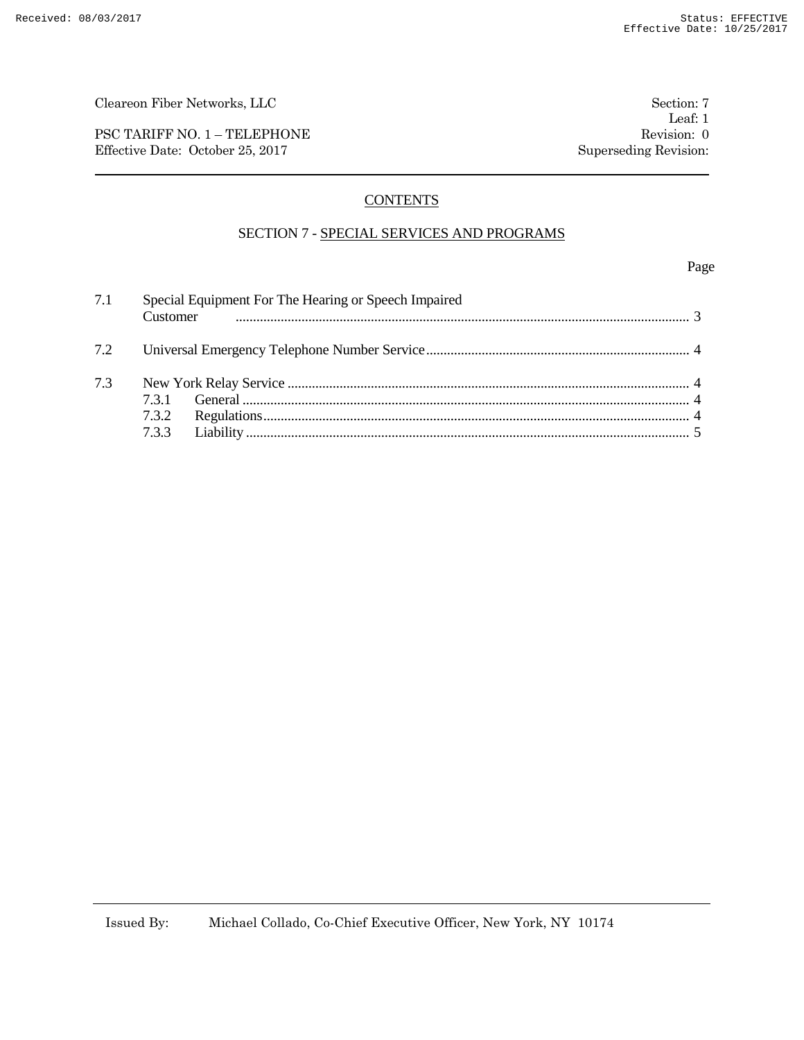PSC TARIFF NO. 1 – TELEPHONE Revision: 0 Effective Date: October 25, 2017 Superseding Revision:

# **CONTENTS**

# SECTION 7 - SPECIAL SERVICES AND PROGRAMS

Page

| 7.1 | Special Equipment For The Hearing or Speech Impaired<br>Customer |  |  |  |
|-----|------------------------------------------------------------------|--|--|--|
| 7.2 |                                                                  |  |  |  |
| 7.3 | 731<br>7.3.3                                                     |  |  |  |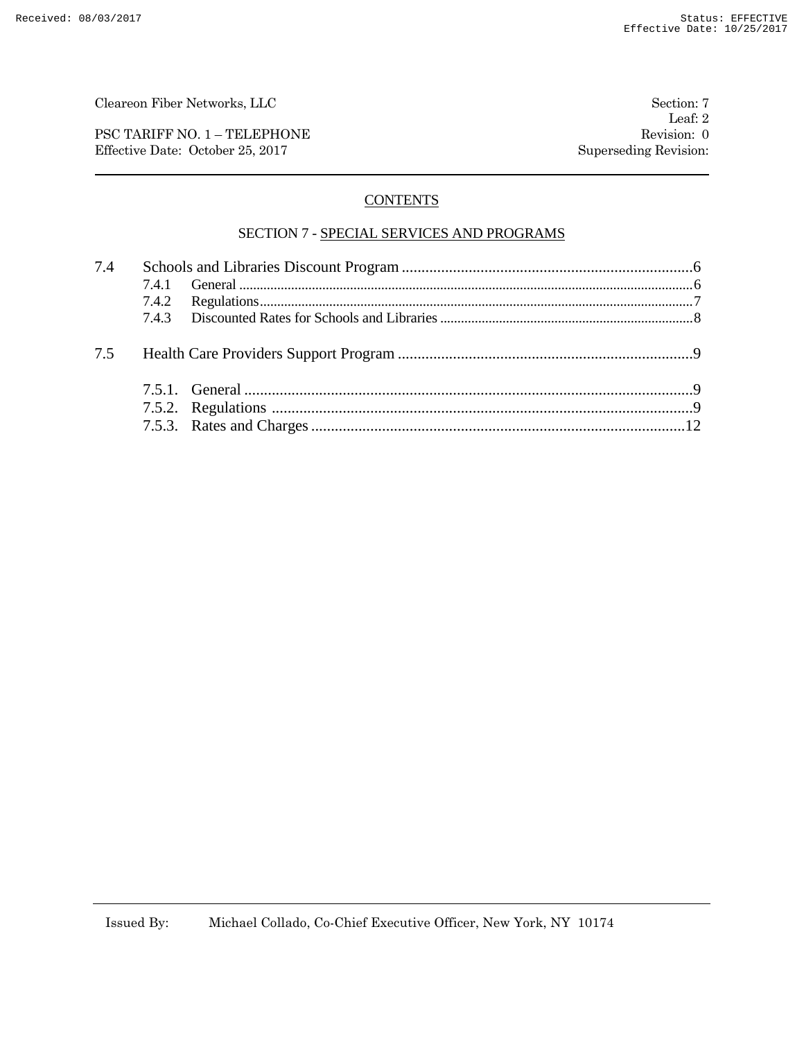PSC TARIFF NO. 1 – TELEPHONE Revision: 0 Effective Date: October 25, 2017 Superseding Revision:

# **CONTENTS**

## SECTION 7 - SPECIAL SERVICES AND PROGRAMS

| 7.4 |  |  |
|-----|--|--|
|     |  |  |
|     |  |  |
|     |  |  |
|     |  |  |
|     |  |  |
|     |  |  |
|     |  |  |
|     |  |  |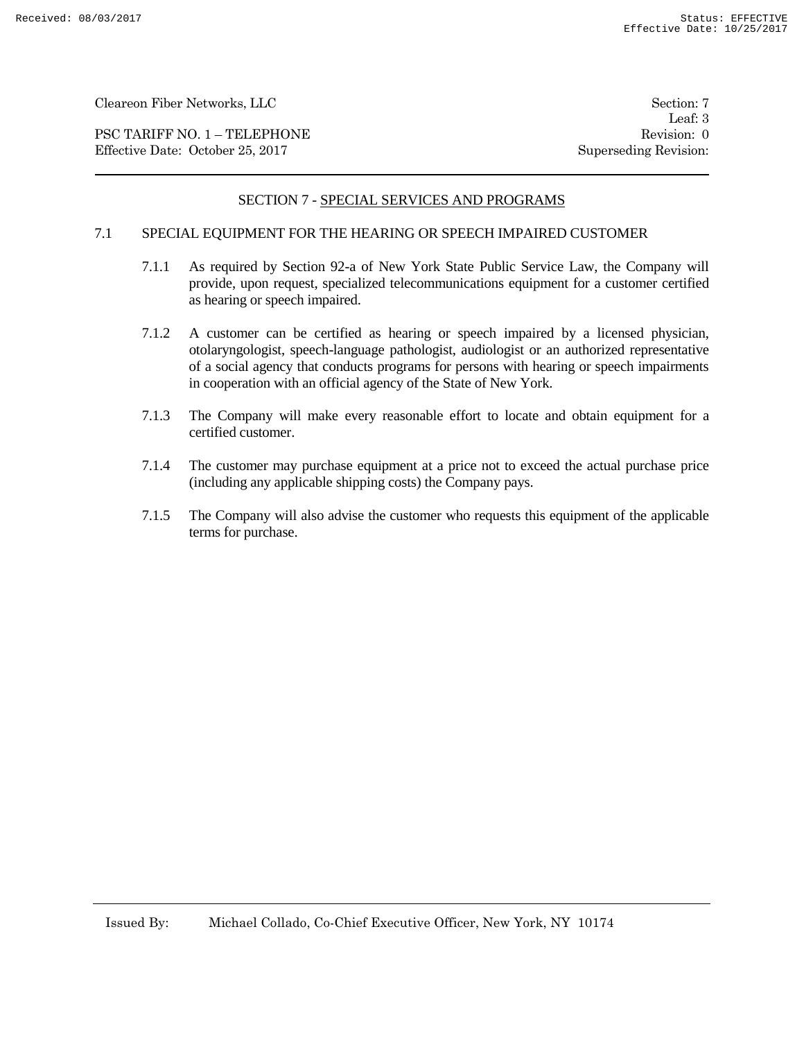PSC TARIFF NO. 1 – TELEPHONE Revision: 0 Effective Date: October 25, 2017 Superseding Revision:

Leaf: 3

# SECTION 7 - SPECIAL SERVICES AND PROGRAMS

## 7.1 SPECIAL EQUIPMENT FOR THE HEARING OR SPEECH IMPAIRED CUSTOMER

- 7.1.1 As required by Section 92-a of New York State Public Service Law, the Company will provide, upon request, specialized telecommunications equipment for a customer certified as hearing or speech impaired.
- 7.1.2 A customer can be certified as hearing or speech impaired by a licensed physician, otolaryngologist, speech-language pathologist, audiologist or an authorized representative of a social agency that conducts programs for persons with hearing or speech impairments in cooperation with an official agency of the State of New York.
- 7.1.3 The Company will make every reasonable effort to locate and obtain equipment for a certified customer.
- 7.1.4 The customer may purchase equipment at a price not to exceed the actual purchase price (including any applicable shipping costs) the Company pays.
- 7.1.5 The Company will also advise the customer who requests this equipment of the applicable terms for purchase.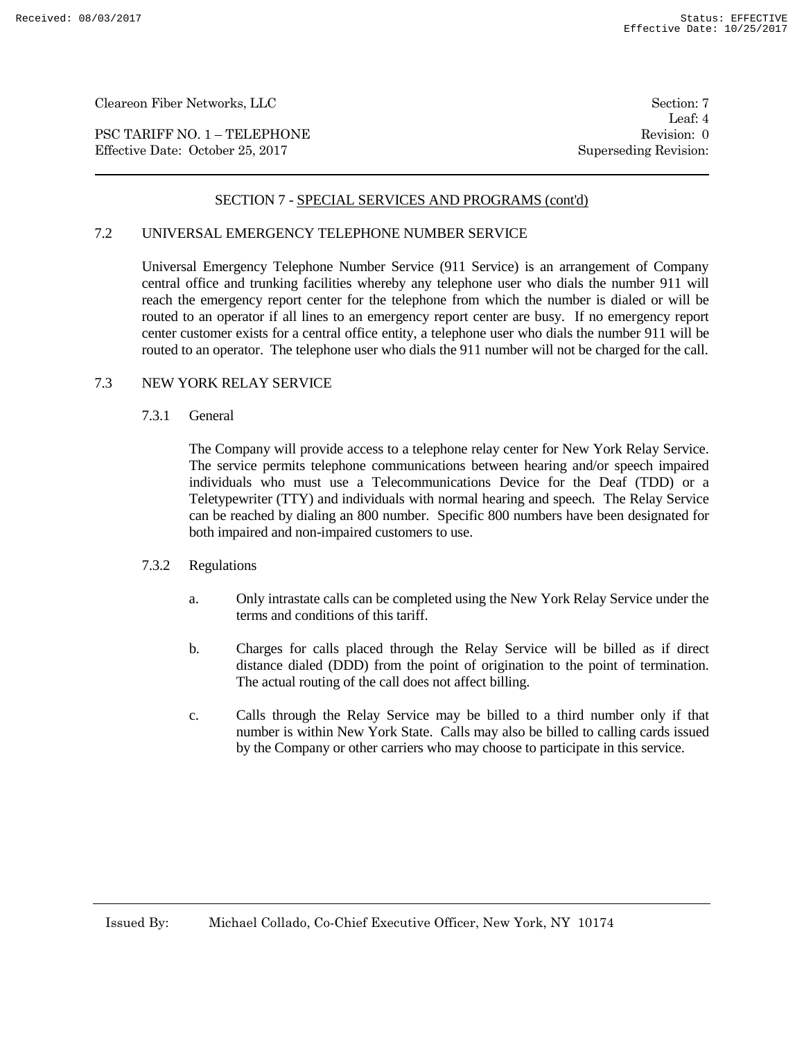PSC TARIFF NO. 1 – TELEPHONE Revision: 0 Effective Date: October 25, 2017 Superseding Revision:

Leaf: 4

## SECTION 7 - SPECIAL SERVICES AND PROGRAMS (cont'd)

## 7.2 UNIVERSAL EMERGENCY TELEPHONE NUMBER SERVICE

Universal Emergency Telephone Number Service (911 Service) is an arrangement of Company central office and trunking facilities whereby any telephone user who dials the number 911 will reach the emergency report center for the telephone from which the number is dialed or will be routed to an operator if all lines to an emergency report center are busy. If no emergency report center customer exists for a central office entity, a telephone user who dials the number 911 will be routed to an operator. The telephone user who dials the 911 number will not be charged for the call.

# 7.3 NEW YORK RELAY SERVICE

#### 7.3.1 General

The Company will provide access to a telephone relay center for New York Relay Service. The service permits telephone communications between hearing and/or speech impaired individuals who must use a Telecommunications Device for the Deaf (TDD) or a Teletypewriter (TTY) and individuals with normal hearing and speech. The Relay Service can be reached by dialing an 800 number. Specific 800 numbers have been designated for both impaired and non-impaired customers to use.

#### 7.3.2 Regulations

- a. Only intrastate calls can be completed using the New York Relay Service under the terms and conditions of this tariff.
- b. Charges for calls placed through the Relay Service will be billed as if direct distance dialed (DDD) from the point of origination to the point of termination. The actual routing of the call does not affect billing.
- c. Calls through the Relay Service may be billed to a third number only if that number is within New York State. Calls may also be billed to calling cards issued by the Company or other carriers who may choose to participate in this service.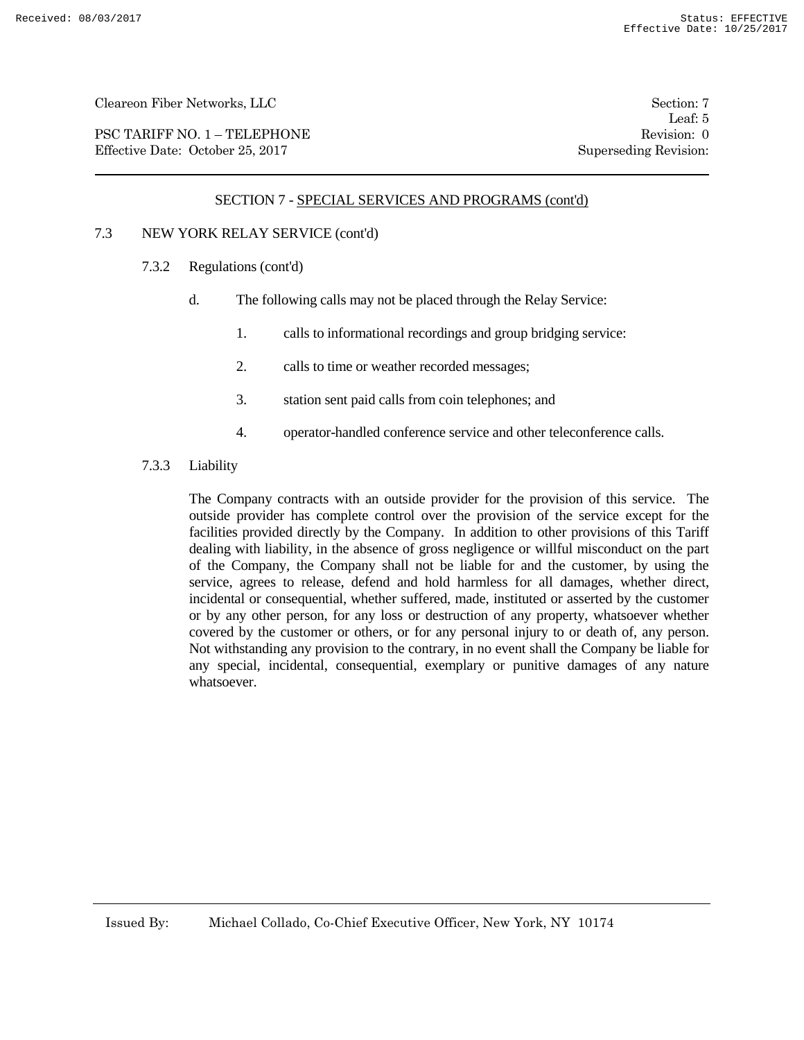PSC TARIFF NO. 1 – TELEPHONE Revision: 0 Effective Date: October 25, 2017 Superseding Revision:

Leaf: 5

#### SECTION 7 - SPECIAL SERVICES AND PROGRAMS (cont'd)

# 7.3 NEW YORK RELAY SERVICE (cont'd)

- 7.3.2 Regulations (cont'd)
	- d. The following calls may not be placed through the Relay Service:
		- 1. calls to informational recordings and group bridging service:
		- 2. calls to time or weather recorded messages;
		- 3. station sent paid calls from coin telephones; and
		- 4. operator-handled conference service and other teleconference calls.
- 7.3.3 Liability

The Company contracts with an outside provider for the provision of this service. The outside provider has complete control over the provision of the service except for the facilities provided directly by the Company. In addition to other provisions of this Tariff dealing with liability, in the absence of gross negligence or willful misconduct on the part of the Company, the Company shall not be liable for and the customer, by using the service, agrees to release, defend and hold harmless for all damages, whether direct, incidental or consequential, whether suffered, made, instituted or asserted by the customer or by any other person, for any loss or destruction of any property, whatsoever whether covered by the customer or others, or for any personal injury to or death of, any person. Not withstanding any provision to the contrary, in no event shall the Company be liable for any special, incidental, consequential, exemplary or punitive damages of any nature whatsoever.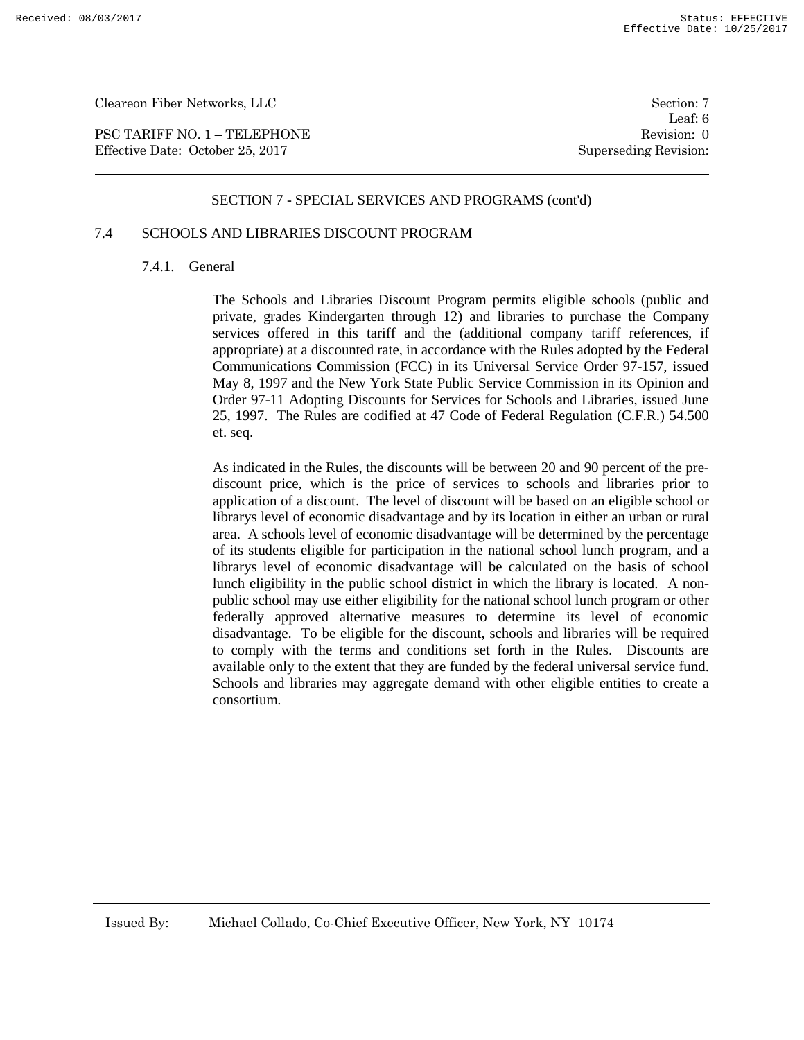PSC TARIFF NO. 1 – TELEPHONE Revision: 0 Effective Date: October 25, 2017 Superseding Revision:

Leaf: 6

#### SECTION 7 - SPECIAL SERVICES AND PROGRAMS (cont'd)

# 7.4 SCHOOLS AND LIBRARIES DISCOUNT PROGRAM

#### 7.4.1. General

The Schools and Libraries Discount Program permits eligible schools (public and private, grades Kindergarten through 12) and libraries to purchase the Company services offered in this tariff and the (additional company tariff references, if appropriate) at a discounted rate, in accordance with the Rules adopted by the Federal Communications Commission (FCC) in its Universal Service Order 97-157, issued May 8, 1997 and the New York State Public Service Commission in its Opinion and Order 97-11 Adopting Discounts for Services for Schools and Libraries, issued June 25, 1997. The Rules are codified at 47 Code of Federal Regulation (C.F.R.) 54.500 et. seq.

As indicated in the Rules, the discounts will be between 20 and 90 percent of the prediscount price, which is the price of services to schools and libraries prior to application of a discount. The level of discount will be based on an eligible school or librarys level of economic disadvantage and by its location in either an urban or rural area. A schools level of economic disadvantage will be determined by the percentage of its students eligible for participation in the national school lunch program, and a librarys level of economic disadvantage will be calculated on the basis of school lunch eligibility in the public school district in which the library is located. A nonpublic school may use either eligibility for the national school lunch program or other federally approved alternative measures to determine its level of economic disadvantage. To be eligible for the discount, schools and libraries will be required to comply with the terms and conditions set forth in the Rules. Discounts are available only to the extent that they are funded by the federal universal service fund. Schools and libraries may aggregate demand with other eligible entities to create a consortium.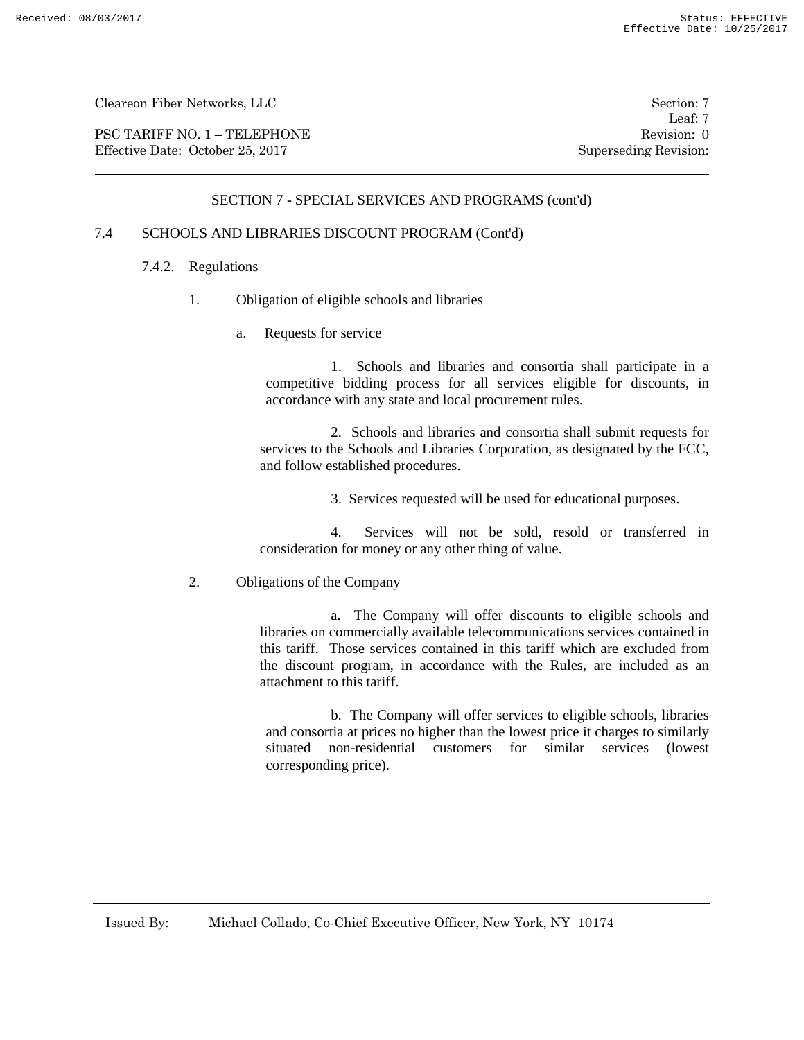PSC TARIFF NO. 1 – TELEPHONE Revision: 0 Effective Date: October 25, 2017 Superseding Revision:

Leaf: 7

# SECTION 7 - SPECIAL SERVICES AND PROGRAMS (cont'd)

# 7.4 SCHOOLS AND LIBRARIES DISCOUNT PROGRAM (Cont'd)

- 7.4.2. Regulations
	- 1. Obligation of eligible schools and libraries
		- a. Requests for service

1. Schools and libraries and consortia shall participate in a competitive bidding process for all services eligible for discounts, in accordance with any state and local procurement rules.

2. Schools and libraries and consortia shall submit requests for services to the Schools and Libraries Corporation, as designated by the FCC, and follow established procedures.

3. Services requested will be used for educational purposes.

4. Services will not be sold, resold or transferred in consideration for money or any other thing of value.

2. Obligations of the Company

a. The Company will offer discounts to eligible schools and libraries on commercially available telecommunications services contained in this tariff. Those services contained in this tariff which are excluded from the discount program, in accordance with the Rules, are included as an attachment to this tariff.

 b. The Company will offer services to eligible schools, libraries and consortia at prices no higher than the lowest price it charges to similarly situated non-residential customers for similar services (lowest corresponding price).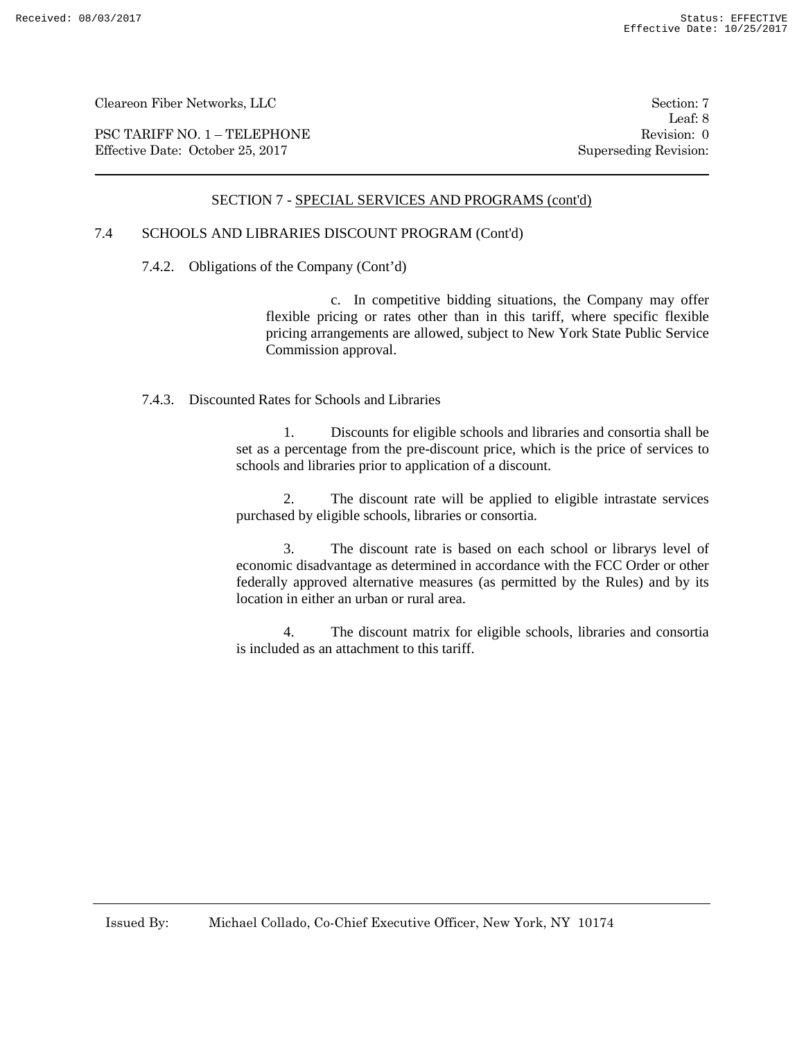PSC TARIFF NO. 1 – TELEPHONE Revision: 0 Effective Date: October 25, 2017 Superseding Revision:

Leaf: 8

# SECTION 7 - SPECIAL SERVICES AND PROGRAMS (cont'd)

# 7.4 SCHOOLS AND LIBRARIES DISCOUNT PROGRAM (Cont'd)

7.4.2. Obligations of the Company (Cont'd)

 c. In competitive bidding situations, the Company may offer flexible pricing or rates other than in this tariff, where specific flexible pricing arrangements are allowed, subject to New York State Public Service Commission approval.

7.4.3. Discounted Rates for Schools and Libraries

1. Discounts for eligible schools and libraries and consortia shall be set as a percentage from the pre-discount price, which is the price of services to schools and libraries prior to application of a discount.

2. The discount rate will be applied to eligible intrastate services purchased by eligible schools, libraries or consortia.

3. The discount rate is based on each school or librarys level of economic disadvantage as determined in accordance with the FCC Order or other federally approved alternative measures (as permitted by the Rules) and by its location in either an urban or rural area.

4. The discount matrix for eligible schools, libraries and consortia is included as an attachment to this tariff.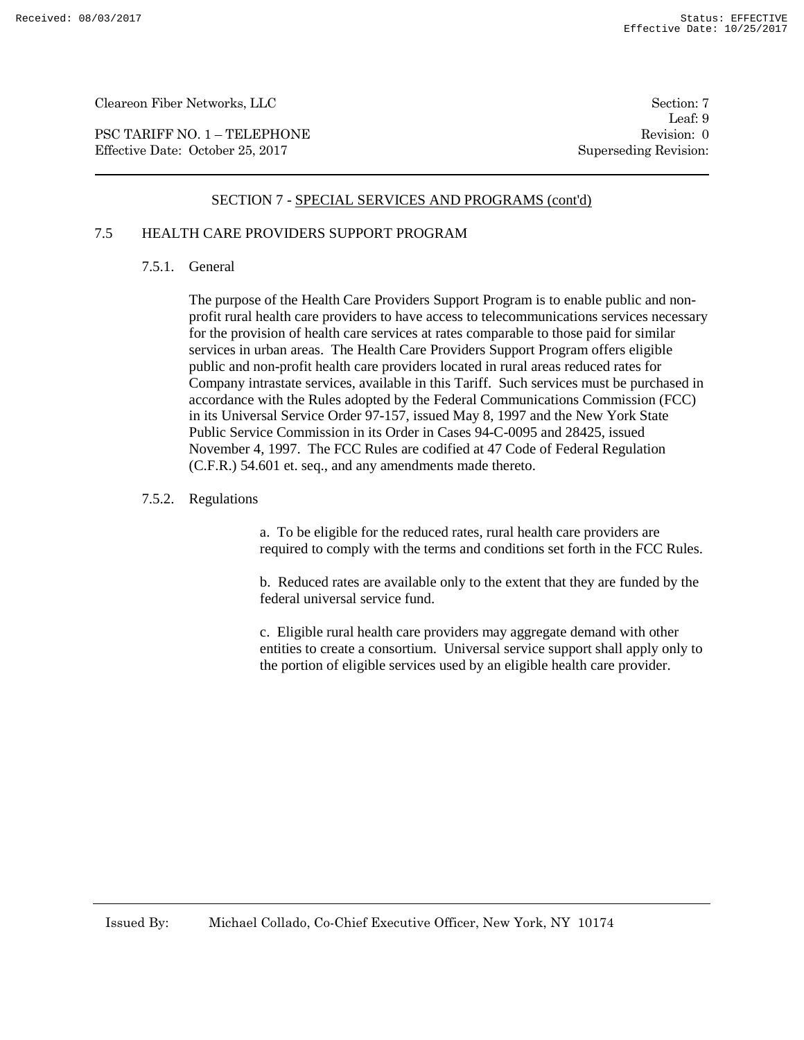PSC TARIFF NO. 1 – TELEPHONE Revision: 0 Effective Date: October 25, 2017 Superseding Revision:

Leaf: 9

# SECTION 7 - SPECIAL SERVICES AND PROGRAMS (cont'd)

# 7.5 HEALTH CARE PROVIDERS SUPPORT PROGRAM

## 7.5.1. General

The purpose of the Health Care Providers Support Program is to enable public and nonprofit rural health care providers to have access to telecommunications services necessary for the provision of health care services at rates comparable to those paid for similar services in urban areas. The Health Care Providers Support Program offers eligible public and non-profit health care providers located in rural areas reduced rates for Company intrastate services, available in this Tariff. Such services must be purchased in accordance with the Rules adopted by the Federal Communications Commission (FCC) in its Universal Service Order 97-157, issued May 8, 1997 and the New York State Public Service Commission in its Order in Cases 94-C-0095 and 28425, issued November 4, 1997. The FCC Rules are codified at 47 Code of Federal Regulation (C.F.R.) 54.601 et. seq., and any amendments made thereto.

## 7.5.2. Regulations

a. To be eligible for the reduced rates, rural health care providers are required to comply with the terms and conditions set forth in the FCC Rules.

b. Reduced rates are available only to the extent that they are funded by the federal universal service fund.

c. Eligible rural health care providers may aggregate demand with other entities to create a consortium. Universal service support shall apply only to the portion of eligible services used by an eligible health care provider.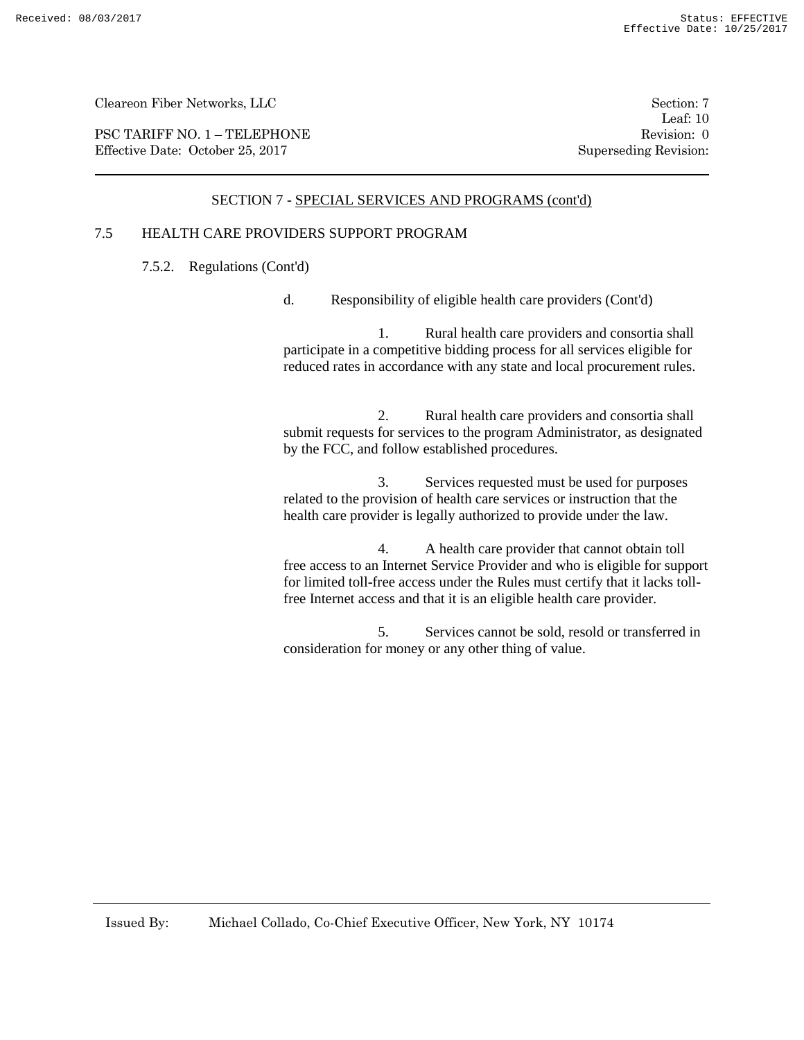PSC TARIFF NO. 1 – TELEPHONE Revision: 0<br>
Effective Date: October 25, 2017 Superseding Revision: 0 Effective Date: October 25, 2017

Leaf: 10

## SECTION 7 - SPECIAL SERVICES AND PROGRAMS (cont'd)

# 7.5 HEALTH CARE PROVIDERS SUPPORT PROGRAM

7.5.2. Regulations (Cont'd)

d. Responsibility of eligible health care providers (Cont'd)

1. Rural health care providers and consortia shall participate in a competitive bidding process for all services eligible for reduced rates in accordance with any state and local procurement rules.

2. Rural health care providers and consortia shall submit requests for services to the program Administrator, as designated by the FCC, and follow established procedures.

3. Services requested must be used for purposes related to the provision of health care services or instruction that the health care provider is legally authorized to provide under the law.

4. A health care provider that cannot obtain toll free access to an Internet Service Provider and who is eligible for support for limited toll-free access under the Rules must certify that it lacks tollfree Internet access and that it is an eligible health care provider.

5. Services cannot be sold, resold or transferred in consideration for money or any other thing of value.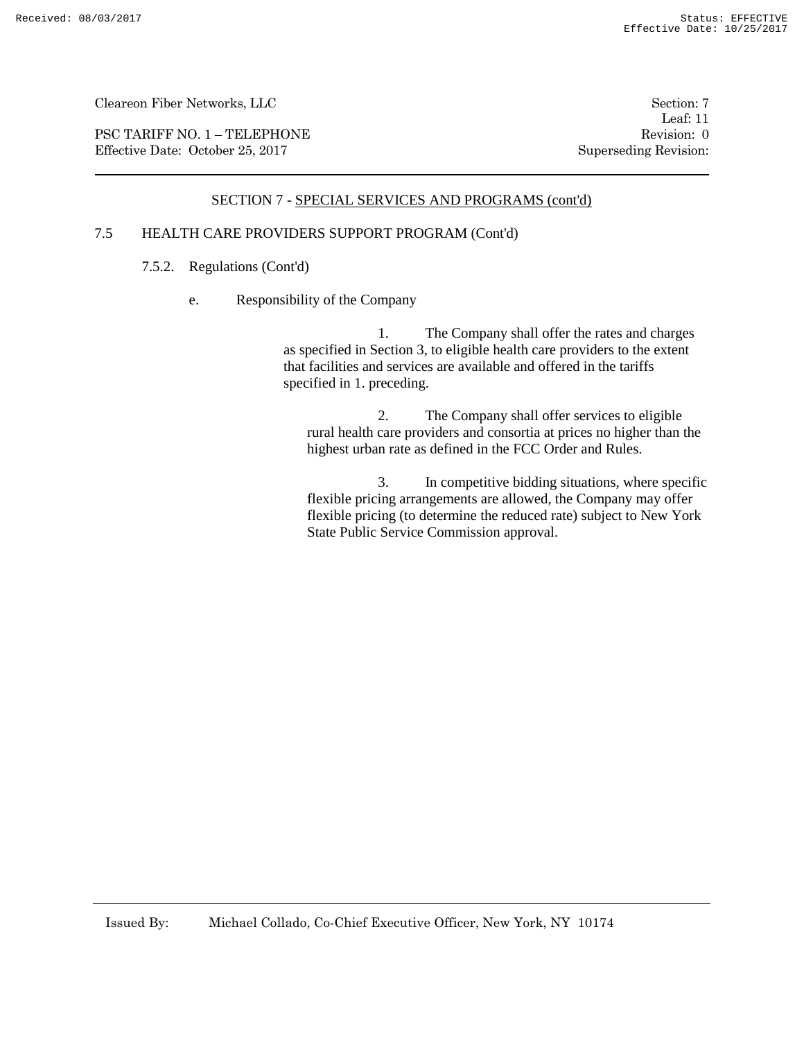PSC TARIFF NO. 1 – TELEPHONE Revision: 0 Effective Date: October 25, 2017 Superseding Revision:

Leaf: 11

# SECTION 7 - SPECIAL SERVICES AND PROGRAMS (cont'd)

# 7.5 HEALTH CARE PROVIDERS SUPPORT PROGRAM (Cont'd)

- 7.5.2. Regulations (Cont'd)
	- e. Responsibility of the Company

1. The Company shall offer the rates and charges as specified in Section 3, to eligible health care providers to the extent that facilities and services are available and offered in the tariffs specified in 1. preceding.

2. The Company shall offer services to eligible rural health care providers and consortia at prices no higher than the highest urban rate as defined in the FCC Order and Rules.

3. In competitive bidding situations, where specific flexible pricing arrangements are allowed, the Company may offer flexible pricing (to determine the reduced rate) subject to New York State Public Service Commission approval.